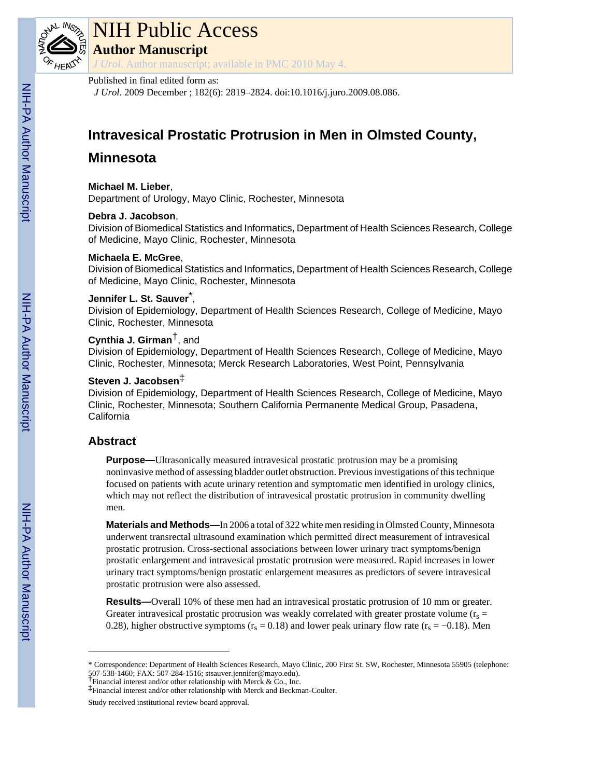

# NIH Public Access

**Author Manuscript**

*J Urol*. Author manuscript; available in PMC 2010 May 4.

# Published in final edited form as:

*J Urol*. 2009 December ; 182(6): 2819–2824. doi:10.1016/j.juro.2009.08.086.

# **Intravesical Prostatic Protrusion in Men in Olmsted County,**

# **Minnesota**

# **Michael M. Lieber**,

Department of Urology, Mayo Clinic, Rochester, Minnesota

# **Debra J. Jacobson**,

Division of Biomedical Statistics and Informatics, Department of Health Sciences Research, College of Medicine, Mayo Clinic, Rochester, Minnesota

# **Michaela E. McGree**,

Division of Biomedical Statistics and Informatics, Department of Health Sciences Research, College of Medicine, Mayo Clinic, Rochester, Minnesota

# **Jennifer L. St. Sauver**\* ,

Division of Epidemiology, Department of Health Sciences Research, College of Medicine, Mayo Clinic, Rochester, Minnesota

# **Cynthia J. Girman**†, and

Division of Epidemiology, Department of Health Sciences Research, College of Medicine, Mayo Clinic, Rochester, Minnesota; Merck Research Laboratories, West Point, Pennsylvania

# **Steven J. Jacobsen**‡

Division of Epidemiology, Department of Health Sciences Research, College of Medicine, Mayo Clinic, Rochester, Minnesota; Southern California Permanente Medical Group, Pasadena, **California** 

# **Abstract**

**Purpose—**Ultrasonically measured intravesical prostatic protrusion may be a promising noninvasive method of assessing bladder outlet obstruction. Previous investigations of this technique focused on patients with acute urinary retention and symptomatic men identified in urology clinics, which may not reflect the distribution of intravesical prostatic protrusion in community dwelling men.

**Materials and Methods—**In 2006 a total of 322 white men residing in Olmsted County, Minnesota underwent transrectal ultrasound examination which permitted direct measurement of intravesical prostatic protrusion. Cross-sectional associations between lower urinary tract symptoms/benign prostatic enlargement and intravesical prostatic protrusion were measured. Rapid increases in lower urinary tract symptoms/benign prostatic enlargement measures as predictors of severe intravesical prostatic protrusion were also assessed.

**Results—**Overall 10% of these men had an intravesical prostatic protrusion of 10 mm or greater. Greater intravesical prostatic protrusion was weakly correlated with greater prostate volume ( $r_s$  = 0.28), higher obstructive symptoms ( $r_s = 0.18$ ) and lower peak urinary flow rate ( $r_s = -0.18$ ). Men

<sup>\*</sup> Correspondence: Department of Health Sciences Research, Mayo Clinic, 200 First St. SW, Rochester, Minnesota 55905 (telephone: 507-538-1460; FAX: 507-284-1516; stsauver.jennifer@mayo.edu).

<sup>†</sup>Financial interest and/or other relationship with Merck & Co., Inc.

<sup>‡</sup>Financial interest and/or other relationship with Merck and Beckman-Coulter.

Study received institutional review board approval.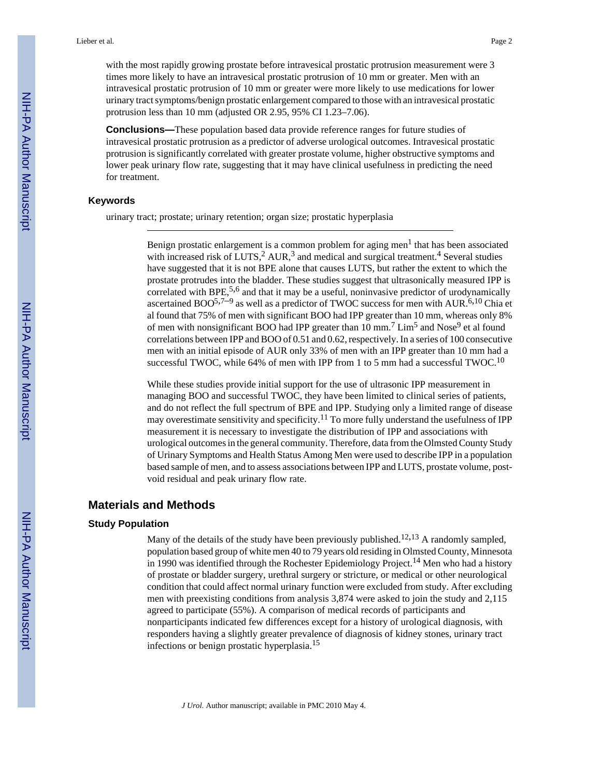with the most rapidly growing prostate before intravesical prostatic protrusion measurement were 3 times more likely to have an intravesical prostatic protrusion of 10 mm or greater. Men with an intravesical prostatic protrusion of 10 mm or greater were more likely to use medications for lower urinary tract symptoms/benign prostatic enlargement compared to those with an intravesical prostatic protrusion less than 10 mm (adjusted OR 2.95, 95% CI 1.23–7.06).

**Conclusions—**These population based data provide reference ranges for future studies of intravesical prostatic protrusion as a predictor of adverse urological outcomes. Intravesical prostatic protrusion is significantly correlated with greater prostate volume, higher obstructive symptoms and lower peak urinary flow rate, suggesting that it may have clinical usefulness in predicting the need for treatment.

#### **Keywords**

urinary tract; prostate; urinary retention; organ size; prostatic hyperplasia

Benign prostatic enlargement is a common problem for aging men $<sup>1</sup>$  that has been associated</sup> with increased risk of LUTS,<sup>2</sup> AUR,<sup>3</sup> and medical and surgical treatment.<sup>4</sup> Several studies have suggested that it is not BPE alone that causes LUTS, but rather the extent to which the prostate protrudes into the bladder. These studies suggest that ultrasonically measured IPP is correlated with BPE,<sup>5,6</sup> and that it may be a useful, noninvasive predictor of urodynamically ascertained  $BOO^{5,7-9}$  as well as a predictor of TWOC success for men with AUR.<sup>6,10</sup> Chia et al found that 75% of men with significant BOO had IPP greater than 10 mm, whereas only 8% of men with nonsignificant BOO had IPP greater than 10 mm.<sup>7</sup> Lim<sup>5</sup> and Nose<sup>9</sup> et al found correlations between IPP and BOO of 0.51 and 0.62, respectively. In a series of 100 consecutive men with an initial episode of AUR only 33% of men with an IPP greater than 10 mm had a successful TWOC, while 64% of men with IPP from 1 to 5 mm had a successful TWOC.<sup>10</sup>

While these studies provide initial support for the use of ultrasonic IPP measurement in managing BOO and successful TWOC, they have been limited to clinical series of patients, and do not reflect the full spectrum of BPE and IPP. Studying only a limited range of disease may overestimate sensitivity and specificity.<sup>11</sup> To more fully understand the usefulness of IPP measurement it is necessary to investigate the distribution of IPP and associations with urological outcomes in the general community. Therefore, data from the Olmsted County Study of Urinary Symptoms and Health Status Among Men were used to describe IPP in a population based sample of men, and to assess associations between IPP and LUTS, prostate volume, postvoid residual and peak urinary flow rate.

# **Materials and Methods**

#### **Study Population**

Many of the details of the study have been previously published.<sup>12,13</sup> A randomly sampled, population based group of white men 40 to 79 years old residing in Olmsted County, Minnesota in 1990 was identified through the Rochester Epidemiology Project.<sup>14</sup> Men who had a history of prostate or bladder surgery, urethral surgery or stricture, or medical or other neurological condition that could affect normal urinary function were excluded from study. After excluding men with preexisting conditions from analysis 3,874 were asked to join the study and 2,115 agreed to participate (55%). A comparison of medical records of participants and nonparticipants indicated few differences except for a history of urological diagnosis, with responders having a slightly greater prevalence of diagnosis of kidney stones, urinary tract infections or benign prostatic hyperplasia.<sup>15</sup>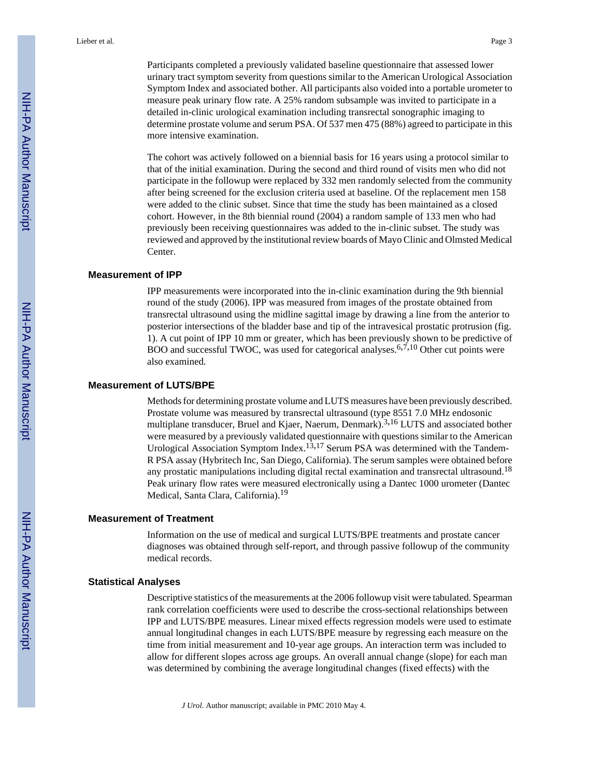Participants completed a previously validated baseline questionnaire that assessed lower urinary tract symptom severity from questions similar to the American Urological Association Symptom Index and associated bother. All participants also voided into a portable urometer to measure peak urinary flow rate. A 25% random subsample was invited to participate in a detailed in-clinic urological examination including transrectal sonographic imaging to determine prostate volume and serum PSA. Of 537 men 475 (88%) agreed to participate in this more intensive examination.

The cohort was actively followed on a biennial basis for 16 years using a protocol similar to that of the initial examination. During the second and third round of visits men who did not participate in the followup were replaced by 332 men randomly selected from the community after being screened for the exclusion criteria used at baseline. Of the replacement men 158 were added to the clinic subset. Since that time the study has been maintained as a closed cohort. However, in the 8th biennial round (2004) a random sample of 133 men who had previously been receiving questionnaires was added to the in-clinic subset. The study was reviewed and approved by the institutional review boards of Mayo Clinic and Olmsted Medical Center.

#### **Measurement of IPP**

IPP measurements were incorporated into the in-clinic examination during the 9th biennial round of the study (2006). IPP was measured from images of the prostate obtained from transrectal ultrasound using the midline sagittal image by drawing a line from the anterior to posterior intersections of the bladder base and tip of the intravesical prostatic protrusion (fig. 1). A cut point of IPP 10 mm or greater, which has been previously shown to be predictive of BOO and successful TWOC, was used for categorical analyses.<sup>6,7,10</sup> Other cut points were also examined.

#### **Measurement of LUTS/BPE**

Methods for determining prostate volume and LUTS measures have been previously described. Prostate volume was measured by transrectal ultrasound (type 8551 7.0 MHz endosonic multiplane transducer, Bruel and Kjaer, Naerum, Denmark).<sup>3,16</sup> LUTS and associated bother were measured by a previously validated questionnaire with questions similar to the American Urological Association Symptom Index.<sup>13,17</sup> Serum PSA was determined with the Tandem-R PSA assay (Hybritech Inc, San Diego, California). The serum samples were obtained before any prostatic manipulations including digital rectal examination and transrectal ultrasound.<sup>18</sup> Peak urinary flow rates were measured electronically using a Dantec 1000 urometer (Dantec Medical, Santa Clara, California).<sup>19</sup>

#### **Measurement of Treatment**

Information on the use of medical and surgical LUTS/BPE treatments and prostate cancer diagnoses was obtained through self-report, and through passive followup of the community medical records.

#### **Statistical Analyses**

Descriptive statistics of the measurements at the 2006 followup visit were tabulated. Spearman rank correlation coefficients were used to describe the cross-sectional relationships between IPP and LUTS/BPE measures. Linear mixed effects regression models were used to estimate annual longitudinal changes in each LUTS/BPE measure by regressing each measure on the time from initial measurement and 10-year age groups. An interaction term was included to allow for different slopes across age groups. An overall annual change (slope) for each man was determined by combining the average longitudinal changes (fixed effects) with the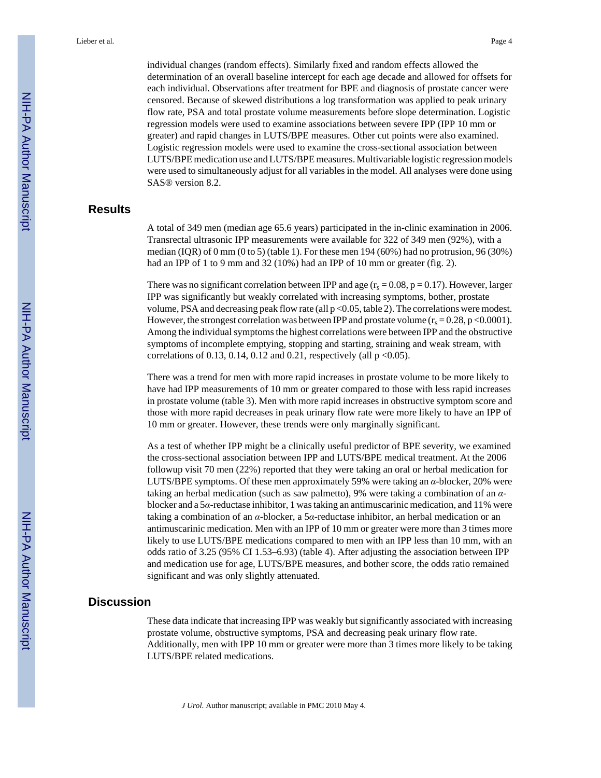individual changes (random effects). Similarly fixed and random effects allowed the determination of an overall baseline intercept for each age decade and allowed for offsets for each individual. Observations after treatment for BPE and diagnosis of prostate cancer were censored. Because of skewed distributions a log transformation was applied to peak urinary flow rate, PSA and total prostate volume measurements before slope determination. Logistic regression models were used to examine associations between severe IPP (IPP 10 mm or greater) and rapid changes in LUTS/BPE measures. Other cut points were also examined. Logistic regression models were used to examine the cross-sectional association between LUTS/BPE medication use and LUTS/BPE measures. Multivariable logistic regression models were used to simultaneously adjust for all variables in the model. All analyses were done using SAS® version 8.2.

# **Results**

A total of 349 men (median age 65.6 years) participated in the in-clinic examination in 2006. Transrectal ultrasonic IPP measurements were available for 322 of 349 men (92%), with a median (IQR) of 0 mm (0 to 5) (table 1). For these men  $194 (60%)$  had no protrusion, 96 (30%) had an IPP of 1 to 9 mm and 32 (10%) had an IPP of 10 mm or greater (fig. 2).

There was no significant correlation between IPP and age  $(r_s = 0.08, p = 0.17)$ . However, larger IPP was significantly but weakly correlated with increasing symptoms, bother, prostate volume, PSA and decreasing peak flow rate (all  $p < 0.05$ , table 2). The correlations were modest. However, the strongest correlation was between IPP and prostate volume ( $r_s = 0.28$ , p < 0.0001). Among the individual symptoms the highest correlations were between IPP and the obstructive symptoms of incomplete emptying, stopping and starting, straining and weak stream, with correlations of 0.13, 0.14, 0.12 and 0.21, respectively (all  $p < 0.05$ ).

There was a trend for men with more rapid increases in prostate volume to be more likely to have had IPP measurements of 10 mm or greater compared to those with less rapid increases in prostate volume (table 3). Men with more rapid increases in obstructive symptom score and those with more rapid decreases in peak urinary flow rate were more likely to have an IPP of 10 mm or greater. However, these trends were only marginally significant.

As a test of whether IPP might be a clinically useful predictor of BPE severity, we examined the cross-sectional association between IPP and LUTS/BPE medical treatment. At the 2006 followup visit 70 men (22%) reported that they were taking an oral or herbal medication for LUTS/BPE symptoms. Of these men approximately 59% were taking an *α*-blocker, 20% were taking an herbal medication (such as saw palmetto), 9% were taking a combination of an *α*blocker and a 5*α*-reductase inhibitor, 1 was taking an antimuscarinic medication, and 11% were taking a combination of an *α*-blocker, a 5*α*-reductase inhibitor, an herbal medication or an antimuscarinic medication. Men with an IPP of 10 mm or greater were more than 3 times more likely to use LUTS/BPE medications compared to men with an IPP less than 10 mm, with an odds ratio of 3.25 (95% CI 1.53–6.93) (table 4). After adjusting the association between IPP and medication use for age, LUTS/BPE measures, and bother score, the odds ratio remained significant and was only slightly attenuated.

# **Discussion**

These data indicate that increasing IPP was weakly but significantly associated with increasing prostate volume, obstructive symptoms, PSA and decreasing peak urinary flow rate. Additionally, men with IPP 10 mm or greater were more than 3 times more likely to be taking LUTS/BPE related medications.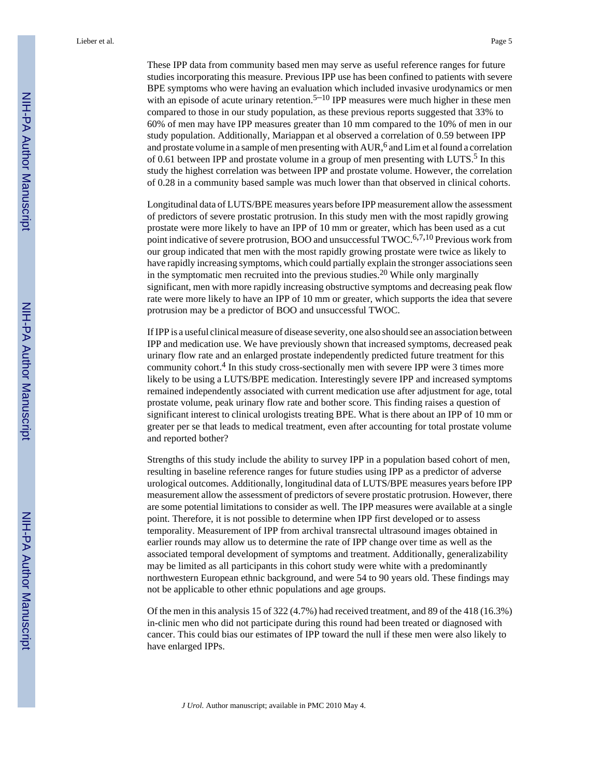Lieber et al. Page 5

These IPP data from community based men may serve as useful reference ranges for future studies incorporating this measure. Previous IPP use has been confined to patients with severe BPE symptoms who were having an evaluation which included invasive urodynamics or men with an episode of acute urinary retention.<sup>5–10</sup> IPP measures were much higher in these men compared to those in our study population, as these previous reports suggested that 33% to 60% of men may have IPP measures greater than 10 mm compared to the 10% of men in our study population. Additionally, Mariappan et al observed a correlation of 0.59 between IPP and prostate volume in a sample of men presenting with  $AUR<sup>6</sup>$  and Lim et al found a correlation of 0.61 between IPP and prostate volume in a group of men presenting with LUTS.<sup>5</sup> In this study the highest correlation was between IPP and prostate volume. However, the correlation of 0.28 in a community based sample was much lower than that observed in clinical cohorts.

Longitudinal data of LUTS/BPE measures years before IPP measurement allow the assessment of predictors of severe prostatic protrusion. In this study men with the most rapidly growing prostate were more likely to have an IPP of 10 mm or greater, which has been used as a cut point indicative of severe protrusion, BOO and unsuccessful TWOC.<sup>6,7,10</sup> Previous work from our group indicated that men with the most rapidly growing prostate were twice as likely to have rapidly increasing symptoms, which could partially explain the stronger associations seen in the symptomatic men recruited into the previous studies.<sup>20</sup> While only marginally significant, men with more rapidly increasing obstructive symptoms and decreasing peak flow rate were more likely to have an IPP of 10 mm or greater, which supports the idea that severe protrusion may be a predictor of BOO and unsuccessful TWOC.

If IPP is a useful clinical measure of disease severity, one also should see an association between IPP and medication use. We have previously shown that increased symptoms, decreased peak urinary flow rate and an enlarged prostate independently predicted future treatment for this community cohort.<sup>4</sup> In this study cross-sectionally men with severe IPP were 3 times more likely to be using a LUTS/BPE medication. Interestingly severe IPP and increased symptoms remained independently associated with current medication use after adjustment for age, total prostate volume, peak urinary flow rate and bother score. This finding raises a question of significant interest to clinical urologists treating BPE. What is there about an IPP of 10 mm or greater per se that leads to medical treatment, even after accounting for total prostate volume and reported bother?

Strengths of this study include the ability to survey IPP in a population based cohort of men, resulting in baseline reference ranges for future studies using IPP as a predictor of adverse urological outcomes. Additionally, longitudinal data of LUTS/BPE measures years before IPP measurement allow the assessment of predictors of severe prostatic protrusion. However, there are some potential limitations to consider as well. The IPP measures were available at a single point. Therefore, it is not possible to determine when IPP first developed or to assess temporality. Measurement of IPP from archival transrectal ultrasound images obtained in earlier rounds may allow us to determine the rate of IPP change over time as well as the associated temporal development of symptoms and treatment. Additionally, generalizability may be limited as all participants in this cohort study were white with a predominantly northwestern European ethnic background, and were 54 to 90 years old. These findings may not be applicable to other ethnic populations and age groups.

Of the men in this analysis 15 of 322 (4.7%) had received treatment, and 89 of the 418 (16.3%) in-clinic men who did not participate during this round had been treated or diagnosed with cancer. This could bias our estimates of IPP toward the null if these men were also likely to have enlarged IPPs.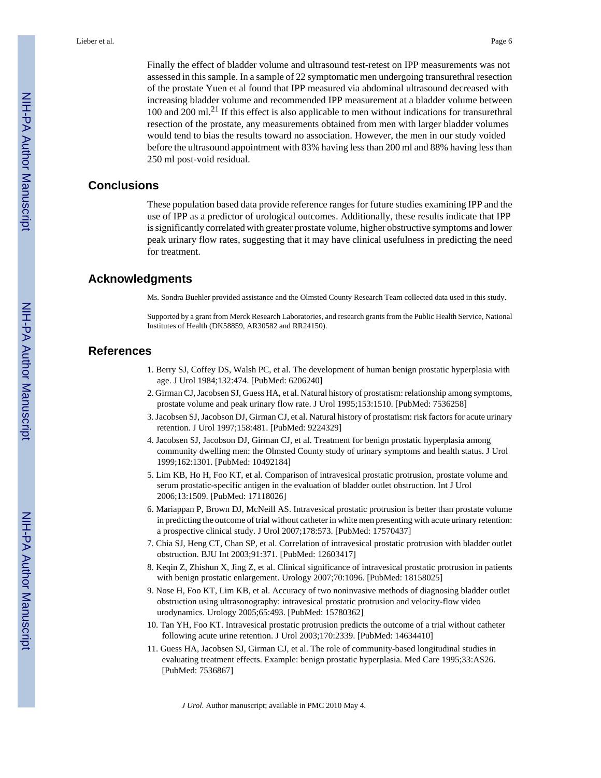Finally the effect of bladder volume and ultrasound test-retest on IPP measurements was not assessed in this sample. In a sample of 22 symptomatic men undergoing transurethral resection of the prostate Yuen et al found that IPP measured via abdominal ultrasound decreased with increasing bladder volume and recommended IPP measurement at a bladder volume between 100 and 200 ml.21 If this effect is also applicable to men without indications for transurethral resection of the prostate, any measurements obtained from men with larger bladder volumes would tend to bias the results toward no association. However, the men in our study voided before the ultrasound appointment with 83% having less than 200 ml and 88% having less than 250 ml post-void residual.

# **Conclusions**

These population based data provide reference ranges for future studies examining IPP and the use of IPP as a predictor of urological outcomes. Additionally, these results indicate that IPP is significantly correlated with greater prostate volume, higher obstructive symptoms and lower peak urinary flow rates, suggesting that it may have clinical usefulness in predicting the need for treatment.

## **Acknowledgments**

Ms. Sondra Buehler provided assistance and the Olmsted County Research Team collected data used in this study.

Supported by a grant from Merck Research Laboratories, and research grants from the Public Health Service, National Institutes of Health (DK58859, AR30582 and RR24150).

# **References**

- 1. Berry SJ, Coffey DS, Walsh PC, et al. The development of human benign prostatic hyperplasia with age. J Urol 1984;132:474. [PubMed: 6206240]
- 2. Girman CJ, Jacobsen SJ, Guess HA, et al. Natural history of prostatism: relationship among symptoms, prostate volume and peak urinary flow rate. J Urol 1995;153:1510. [PubMed: 7536258]
- 3. Jacobsen SJ, Jacobson DJ, Girman CJ, et al. Natural history of prostatism: risk factors for acute urinary retention. J Urol 1997;158:481. [PubMed: 9224329]
- 4. Jacobsen SJ, Jacobson DJ, Girman CJ, et al. Treatment for benign prostatic hyperplasia among community dwelling men: the Olmsted County study of urinary symptoms and health status. J Urol 1999;162:1301. [PubMed: 10492184]
- 5. Lim KB, Ho H, Foo KT, et al. Comparison of intravesical prostatic protrusion, prostate volume and serum prostatic-specific antigen in the evaluation of bladder outlet obstruction. Int J Urol 2006;13:1509. [PubMed: 17118026]
- 6. Mariappan P, Brown DJ, McNeill AS. Intravesical prostatic protrusion is better than prostate volume in predicting the outcome of trial without catheter in white men presenting with acute urinary retention: a prospective clinical study. J Urol 2007;178:573. [PubMed: 17570437]
- 7. Chia SJ, Heng CT, Chan SP, et al. Correlation of intravesical prostatic protrusion with bladder outlet obstruction. BJU Int 2003;91:371. [PubMed: 12603417]
- 8. Keqin Z, Zhishun X, Jing Z, et al. Clinical significance of intravesical prostatic protrusion in patients with benign prostatic enlargement. Urology 2007;70:1096. [PubMed: 18158025]
- 9. Nose H, Foo KT, Lim KB, et al. Accuracy of two noninvasive methods of diagnosing bladder outlet obstruction using ultrasonography: intravesical prostatic protrusion and velocity-flow video urodynamics. Urology 2005;65:493. [PubMed: 15780362]
- 10. Tan YH, Foo KT. Intravesical prostatic protrusion predicts the outcome of a trial without catheter following acute urine retention. J Urol 2003;170:2339. [PubMed: 14634410]
- 11. Guess HA, Jacobsen SJ, Girman CJ, et al. The role of community-based longitudinal studies in evaluating treatment effects. Example: benign prostatic hyperplasia. Med Care 1995;33:AS26. [PubMed: 7536867]

*J Urol*. Author manuscript; available in PMC 2010 May 4.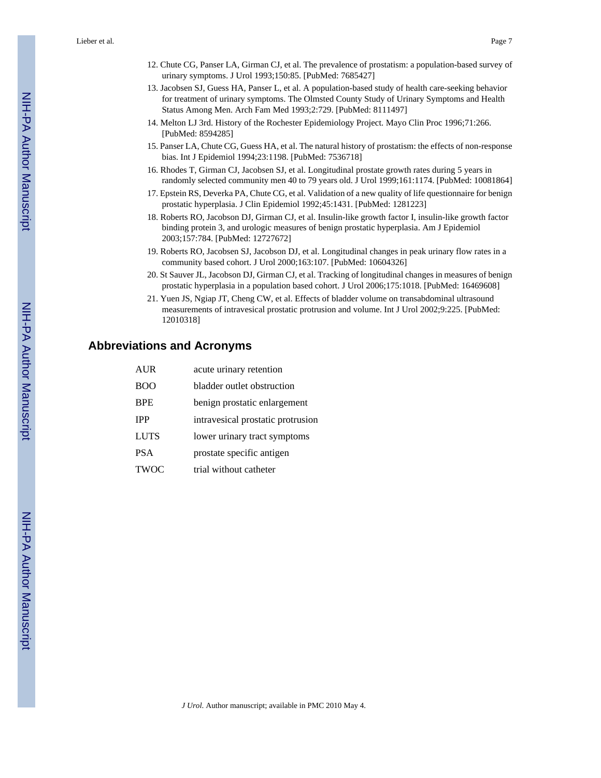Lieber et al. Page 7

- 12. Chute CG, Panser LA, Girman CJ, et al. The prevalence of prostatism: a population-based survey of urinary symptoms. J Urol 1993;150:85. [PubMed: 7685427]
- 13. Jacobsen SJ, Guess HA, Panser L, et al. A population-based study of health care-seeking behavior for treatment of urinary symptoms. The Olmsted County Study of Urinary Symptoms and Health Status Among Men. Arch Fam Med 1993;2:729. [PubMed: 8111497]
- 14. Melton LJ 3rd. History of the Rochester Epidemiology Project. Mayo Clin Proc 1996;71:266. [PubMed: 8594285]
- 15. Panser LA, Chute CG, Guess HA, et al. The natural history of prostatism: the effects of non-response bias. Int J Epidemiol 1994;23:1198. [PubMed: 7536718]
- 16. Rhodes T, Girman CJ, Jacobsen SJ, et al. Longitudinal prostate growth rates during 5 years in randomly selected community men 40 to 79 years old. J Urol 1999;161:1174. [PubMed: 10081864]
- 17. Epstein RS, Deverka PA, Chute CG, et al. Validation of a new quality of life questionnaire for benign prostatic hyperplasia. J Clin Epidemiol 1992;45:1431. [PubMed: 1281223]
- 18. Roberts RO, Jacobson DJ, Girman CJ, et al. Insulin-like growth factor I, insulin-like growth factor binding protein 3, and urologic measures of benign prostatic hyperplasia. Am J Epidemiol 2003;157:784. [PubMed: 12727672]
- 19. Roberts RO, Jacobsen SJ, Jacobson DJ, et al. Longitudinal changes in peak urinary flow rates in a community based cohort. J Urol 2000;163:107. [PubMed: 10604326]
- 20. St Sauver JL, Jacobson DJ, Girman CJ, et al. Tracking of longitudinal changes in measures of benign prostatic hyperplasia in a population based cohort. J Urol 2006;175:1018. [PubMed: 16469608]
- 21. Yuen JS, Ngiap JT, Cheng CW, et al. Effects of bladder volume on transabdominal ultrasound measurements of intravesical prostatic protrusion and volume. Int J Urol 2002;9:225. [PubMed: 12010318]

# **Abbreviations and Acronyms**

| <b>AUR</b>  | acute urinary retention           |
|-------------|-----------------------------------|
| <b>BOO</b>  | bladder outlet obstruction        |
| <b>BPE</b>  | benign prostatic enlargement      |
| <b>IPP</b>  | intravesical prostatic protrusion |
| <b>LUTS</b> | lower urinary tract symptoms      |
| <b>PSA</b>  | prostate specific antigen         |
| <b>TWOC</b> | trial without catheter            |

NIH-PA Author Manuscript

NH-PA Author Manuscript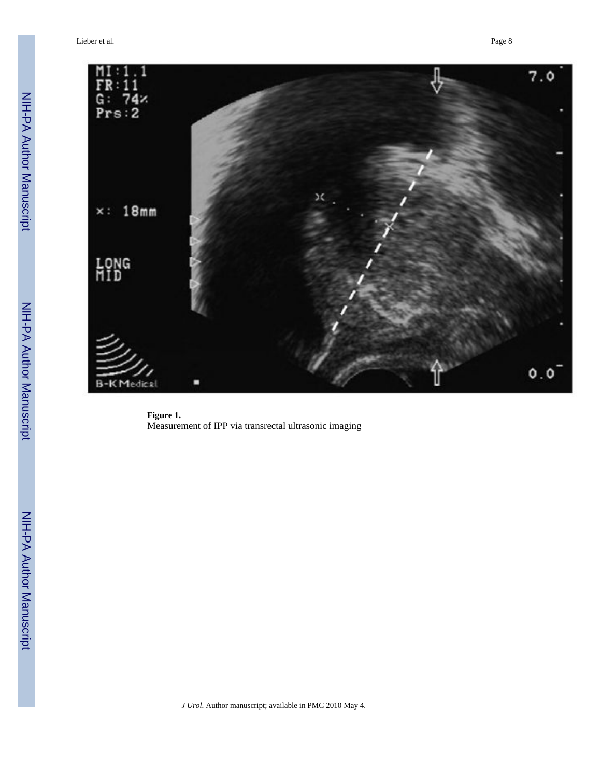Lieber et al. Page 8



**Figure 1.** Measurement of IPP via transrectal ultrasonic imaging

*J Urol*. Author manuscript; available in PMC 2010 May 4.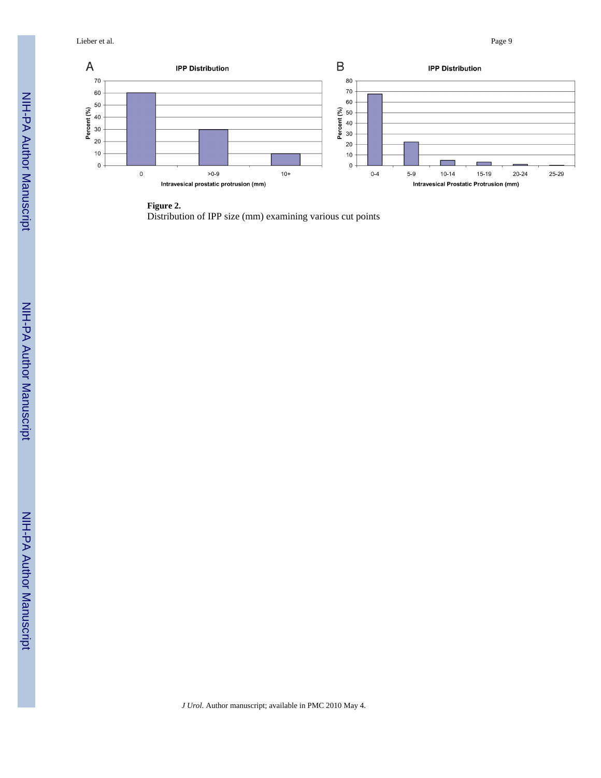Lieber et al. Page 9

 $\overline{A}$ 



#### **Figure 2.**

Distribution of IPP size (mm) examining various cut points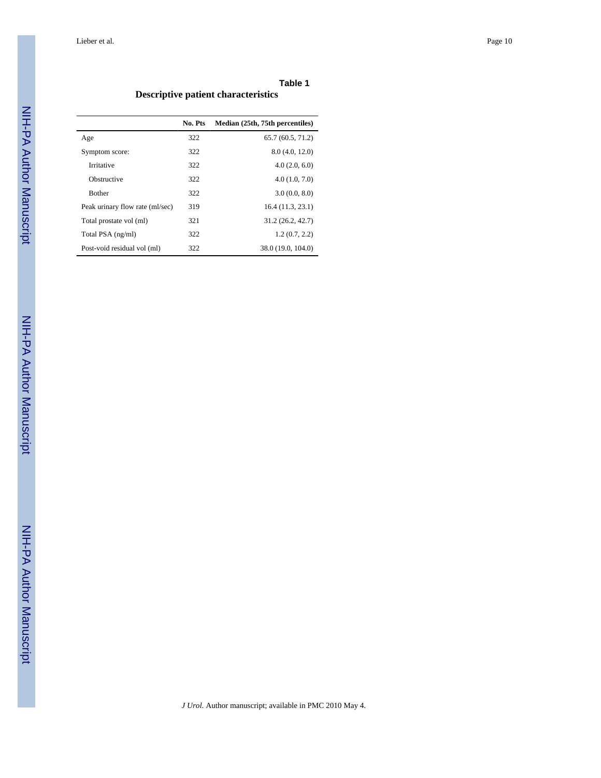### **Table 1 Descriptive patient characteristics**

|                                 | No. Pts | Median (25th, 75th percentiles) |
|---------------------------------|---------|---------------------------------|
| Age                             | 322     | 65.7(60.5, 71.2)                |
| Symptom score:                  | 322     | 8.0(4.0, 12.0)                  |
| Irritative                      | 322     | 4.0(2.0, 6.0)                   |
| Obstructive                     | 322     | 4.0(1.0, 7.0)                   |
| <b>Bother</b>                   | 322     | 3.0(0.0, 8.0)                   |
| Peak urinary flow rate (ml/sec) | 319     | 16.4(11.3, 23.1)                |
| Total prostate vol (ml)         | 321     | 31.2 (26.2, 42.7)               |
| Total PSA (ng/ml)               | 322     | 1.2(0.7, 2.2)                   |
| Post-void residual vol (ml)     | 322     | 38.0 (19.0, 104.0)              |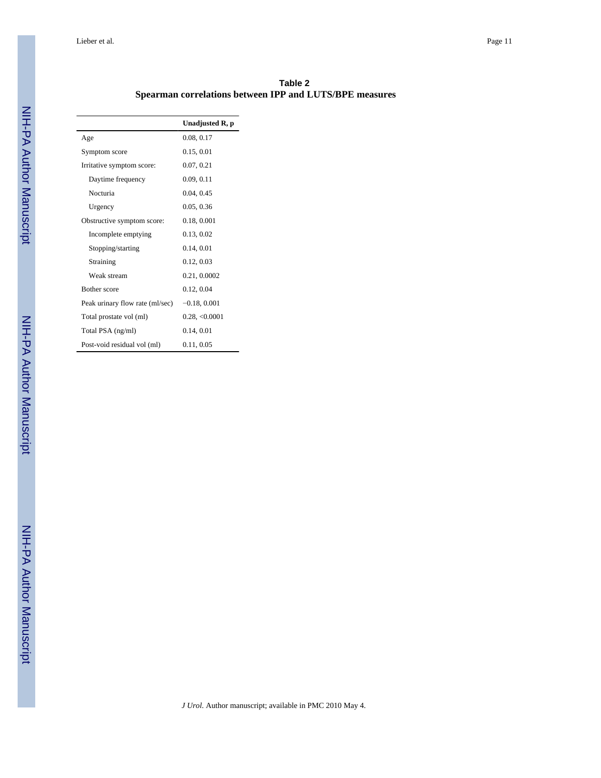Lieber et al. Page 11

| Table 2                                                 |  |
|---------------------------------------------------------|--|
| Spearman correlations between IPP and LUTS/BPE measures |  |

|                                 | Unadjusted R, p |
|---------------------------------|-----------------|
| Age                             | 0.08, 0.17      |
| Symptom score                   | 0.15, 0.01      |
| Irritative symptom score:       | 0.07, 0.21      |
| Daytime frequency               | 0.09, 0.11      |
| Nocturia                        | 0.04, 0.45      |
| Urgency                         | 0.05, 0.36      |
| Obstructive symptom score:      | 0.18, 0.001     |
| Incomplete emptying             | 0.13, 0.02      |
| Stopping/starting               | 0.14, 0.01      |
| Straining                       | 0.12, 0.03      |
| Weak stream                     | 0.21, 0.0002    |
| <b>Bother</b> score             | 0.12, 0.04      |
| Peak urinary flow rate (ml/sec) | $-0.18, 0.001$  |
| Total prostate vol (ml)         | 0.28, <0.0001   |
| Total PSA (ng/ml)               | 0.14, 0.01      |
| Post-void residual vol (ml)     | 0.11, 0.05      |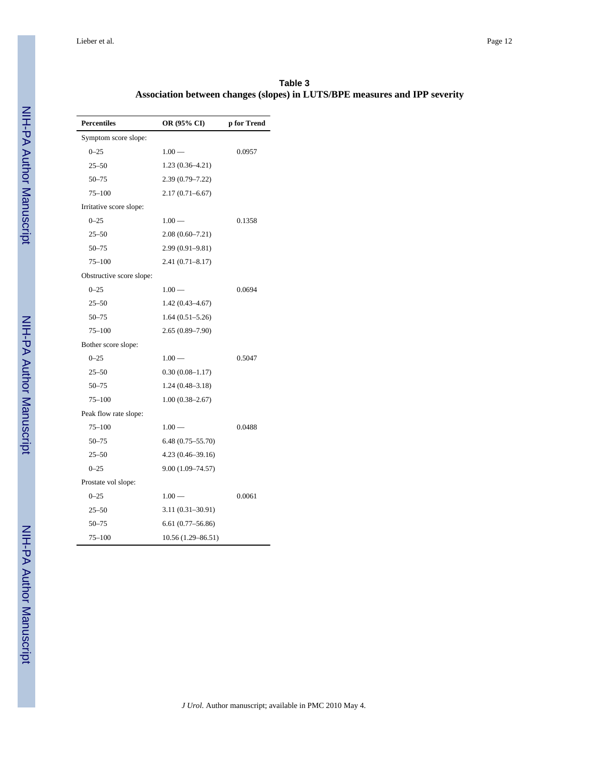| <b>Percentiles</b>       | OR (95% CI)          | p for Trend |
|--------------------------|----------------------|-------------|
| Symptom score slope:     |                      |             |
| $0 - 25$                 | $1.00 -$             | 0.0957      |
| $25 - 50$                | $1.23(0.36-4.21)$    |             |
| $50 - 75$                | $2.39(0.79 - 7.22)$  |             |
| $75 - 100$               | $2.17(0.71 - 6.67)$  |             |
| Irritative score slope:  |                      |             |
| $0 - 25$                 | $1.00 -$             | 0.1358      |
| $25 - 50$                | $2.08(0.60 - 7.21)$  |             |
| $50 - 75$                | $2.99(0.91 - 9.81)$  |             |
| $75 - 100$               | $2.41(0.71 - 8.17)$  |             |
| Obstructive score slope: |                      |             |
| $0 - 25$                 | $1.00 -$             | 0.0694      |
| $25 - 50$                | $1.42(0.43 - 4.67)$  |             |
| $50 - 75$                | $1.64(0.51 - 5.26)$  |             |
| $75 - 100$               | $2.65(0.89 - 7.90)$  |             |
| Bother score slope:      |                      |             |
| $0 - 25$                 | $1.00 -$             | 0.5047      |
| $25 - 50$                | $0.30(0.08 - 1.17)$  |             |
| $50 - 75$                | $1.24(0.48-3.18)$    |             |
| $75 - 100$               | $1.00(0.38 - 2.67)$  |             |
| Peak flow rate slope:    |                      |             |
| $75 - 100$               | $1.00 -$             | 0.0488      |
| $50 - 75$                | $6.48(0.75 - 55.70)$ |             |
| $25 - 50$                | $4.23(0.46-39.16)$   |             |
| $0 - 25$                 | $9.00(1.09 - 74.57)$ |             |
| Prostate vol slope:      |                      |             |
| $0 - 25$                 | $1.00 -$             | 0.0061      |
| $25 - 50$                | $3.11(0.31 - 30.91)$ |             |
| $50 - 75$                | $6.61(0.77-56.86)$   |             |
| 75–100                   | 10.56 (1.29-86.51)   |             |

**Table 3 Association between changes (slopes) in LUTS/BPE measures and IPP severity**